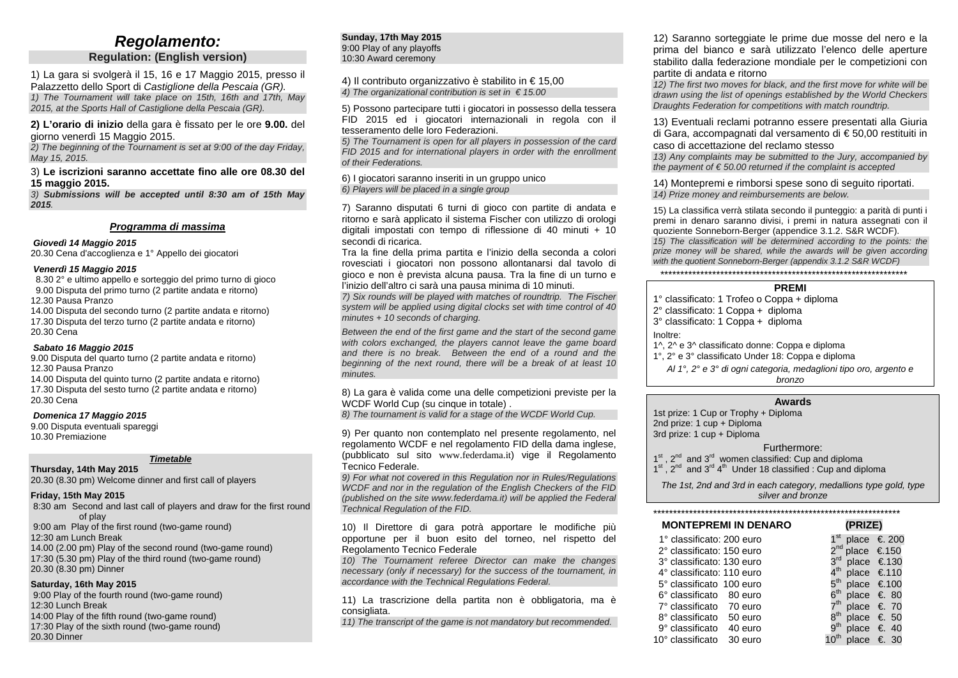## *Regolamento:*

### **Regulation: (English version)**

1) La gara si svolgerà il 15, 16 e 17 Maggio 2015, presso il Palazzetto dello Sport di *Castiglione della Pescaia (GR). 1) The Tournament will take place on 15th, 16th and 17th, May 2015, at the Sports Hall of Castiglione della Pescaia (GR).*

#### **2) L'orario di inizio** della gara è fissato per le ore **9.00.** del giorno venerdì 15 Maggio 2015.

*2) The beginning of the Tournament is set at 9:00 of the day Friday, May 15, 2015.*

#### 3) **Le iscrizioni saranno accettate fino alle ore 08.30 del 15 maggio 2015.**

*3) Submissions will be accepted until 8:30 am of 15th May 2015.*

#### *Programma di massima*

*Giovedì 14 Maggio 2015*

20.30 Cena d'accoglienza e 1° Appello dei giocatori

#### *Venerdì 15 Maggio 2015*

 8.30 2° e ultimo appello e sorteggio del primo turno di gioco 9.00 Disputa del primo turno (2 partite andata e ritorno) 12.30 Pausa Pranzo

14.00 Disputa del secondo turno (2 partite andata e ritorno) 17.30 Disputa del terzo turno (2 partite andata e ritorno) 20.30 Cena

#### *Sabato 16 Maggio 2015*

9.00 Disputa del quarto turno (2 partite andata e ritorno) 12.30 Pausa Pranzo

14.00 Disputa del quinto turno (2 partite andata e ritorno) 17.30 Disputa del sesto turno (2 partite andata e ritorno) 20.30 Cena

#### *Domenica 17 Maggio 2015*

9.00 Disputa eventuali spareggi 10.30 Premiazione

#### *Timetable*

**Thursday, 14th May 2015** 20.30 (8.30 pm) Welcome dinner and first call of players

#### **Friday, 15th May 2015**

8:30 am Second and last call of players and draw for the first round of play 9:00 am Play of the first round (two-game round) 12:30 am Lunch Break 14.00 (2.00 pm) Play of the second round (two-game round) 17:30 (5.30 pm) Play of the third round (two-game round) 20.30 (8.30 pm) Dinner

#### **Saturday, 16th May 2015**

9:00 Play of the fourth round (two-game round) 12:30 Lunch Break 14:00 Play of the fifth round (two-game round) 17:30 Play of the sixth round (two-game round) 20.30 Dinner

#### **Sunday, 17th May 2015** 9:00 Play of any playoffs 10:30 Award ceremony

4) Il contributo organizzativo è stabilito in € 15,00 *4) The organizational contribution is set in € 15.00*

5) Possono partecipare tutti i giocatori in possesso della tessera FID 2015 ed i giocatori internazionali in regola con il tesseramento delle loro Federazioni.

*5) The Tournament is open for all players in possession of the card FID 2015 and for international players in order with the enrollment of their Federations.*

6) I giocatori saranno inseriti in un gruppo unico *6) Players will be placed in a single group*

7) Saranno disputati 6 turni di gioco con partite di andata e ritorno e sarà applicato il sistema Fischer con utilizzo di orologi digitali impostati con tempo di riflessione di 40 minuti + 10 secondi di ricarica.

Tra la fine della prima partita e l'inizio della seconda a colori rovesciati i giocatori non possono allontanarsi dal tavolo di gioco e non è prevista alcuna pausa. Tra la fine di un turno e l'inizio dell'altro ci sarà una pausa minima di 10 minuti.

*7) Six rounds will be played with matches of roundtrip. The Fischer system will be applied using digital clocks set with time control of 40 minutes + 10 seconds of charging.*

*Between the end of the first game and the start of the second game with colors exchanged, the players cannot leave the game board and there is no break. Between the end of a round and the beginning of the next round, there will be a break of at least 10 minutes.*

8) La gara è valida come una delle competizioni previste per la WCDF World Cup (su cinque in totale).

*8) The tournament is valid for a stage of the WCDF World Cup.*

9) Per quanto non contemplato nel presente regolamento, nel regolamento WCDF e nel regolamento FID della dama inglese, (pubblicato sul sito [www.federdama.it](http://www.federdama.it/)) vige il Regolamento Tecnico Federale.

*9) For what not covered in this Regulation nor in Rules/Regulations WCDF and nor in the regulation of the English Checkers of the FID (published on the site www.federdama.it) will be applied the Federal Technical Regulation of the FID.*

10) Il Direttore di gara potrà apportare le modifiche più opportune per il buon esito del torneo, nel rispetto del Regolamento Tecnico Federale

*10) The Tournament referee Director can make the changes necessary (only if necessary) for the success of the tournament, in accordance with the Technical Regulations Federal.*

11) La trascrizione della partita non è obbligatoria, ma è consigliata.

*11) The transcript of the game is not mandatory but recommended.*

12) Saranno sorteggiate le prime due mosse del nero e la prima del bianco e sarà utilizzato l'elenco delle aperture stabilito dalla federazione mondiale per le competizioni con partite di andata e ritorno

*12) The first two moves for black, and the first move for white will be drawn using the list of openings established by the World Checkers Draughts Federation for competitions with match roundtrip.*

13) Eventuali reclami potranno essere presentati alla Giuria di Gara, accompagnati dal versamento di € 50,00 restituiti in caso di accettazione del reclamo stesso

*13) Any complaints may be submitted to the Jury, accompanied by the payment of € 50.00 returned if the complaint is accepted*

14) Montepremi e rimborsi spese sono di seguito riportati. *14) Prize money and reimbursements are below.*

15) La classifica verrà stilata secondo il punteggio: a parità di punti i premi in denaro saranno divisi, i premi in natura assegnati con il quoziente Sonneborn-Berger (appendice 3.1.2. S&R WCDF). *15) The classification will be determined according to the points: the*  prize money will be shared, while the awards will be given according *with the quotient Sonneborn-Berger (appendix 3.1.2 S&R WCDF)*

\*\*\*\*\*\*\*\*\*\*\*\*\*\*\*\*\*\*\*\*\*\*\*\*\*\*\*\*\*\*\*\*\*\*\*\*\*\*\*\*\*\*\*\*\*\*\*\*\*\*\*\*\*\*\*\*\*\*\*\*\*\*

#### **PREMI**

1° classificato: 1 Trofeo o Coppa + diploma

- 2° classificato: 1 Coppa + diploma
- 3° classificato: 1 Coppa + diploma
- Inoltre:

1^, 2^ e 3^ classificato donne: Coppa e diploma

- 1°, 2° e 3° classificato Under 18: Coppa e diploma
	- *Al 1°, 2° e 3° di ogni categoria, medaglioni tipo oro, argento e bronzo*

#### **Awards**

1st prize: 1 Cup or Trophy + Diploma 2nd prize: 1 cup + Diploma 3rd prize: 1 cup + Diploma

Furthermore:

 $1<sup>st</sup>$ ,  $2<sup>nd</sup>$  and  $3<sup>rd</sup>$  women classified: Cup and diploma

 $1^{st}$ ,  $2^{nd}$  and  $3^{rd}$   $4^{th}$  Under 18 classified : Cup and diploma

*The 1st, 2nd and 3rd in each category, medallions type gold, type silver and bronze*

| <b>MONTEPREMI IN DENARO</b> | (PRIZE)                              |
|-----------------------------|--------------------------------------|
| 1° classificato: 200 euro   | 1 <sup>st</sup> place € 200          |
| 2° classificato: 150 euro   | $2^{nd}$ place $\epsilon$ 150        |
| 3° classificato: 130 euro   | $3^{rd}$ place $\epsilon$ 130        |
| 4° classificato: 110 euro   | $4^{th}$ place $\epsilon$ 110        |
| 5° classificato 100 euro    | 5 <sup>th</sup> place €.100          |
| 6° classificato 80 euro     | $6^{th}$ place $\epsilon$ 80         |
| 7° classificato 70 euro     | $7th$ place $\epsilon$ 70            |
| 8° classificato 50 euro     | $8^{th}$ place $\epsilon$ 50         |
| 9° classificato 40 euro     | $9^{\sf th}$<br>place $\epsilon$ 40  |
| 10° classificato 30 euro    | 10 <sup>th</sup> place $\epsilon$ 30 |